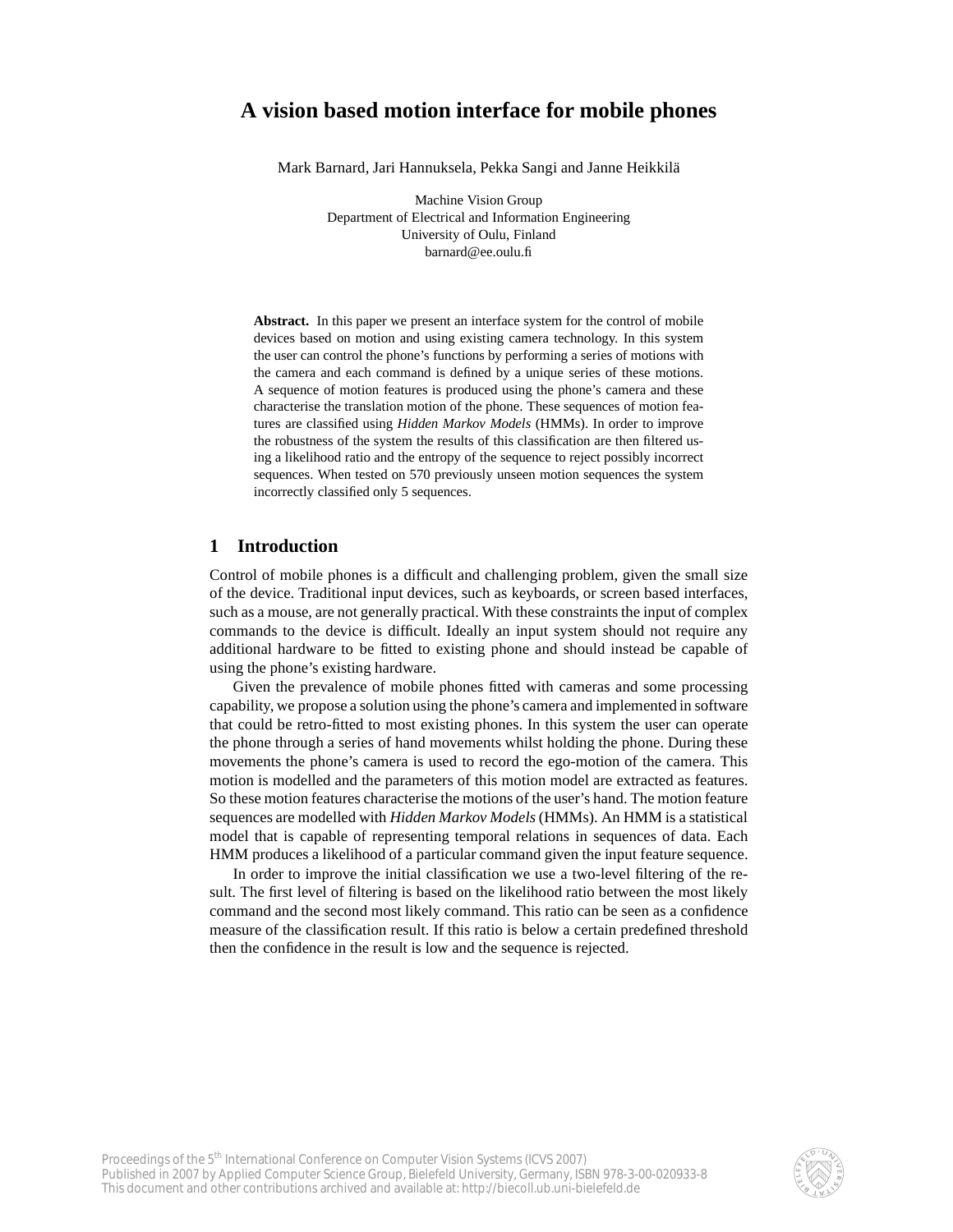# **A vision based motion interface for mobile phones**

Mark Barnard, Jari Hannuksela, Pekka Sangi and Janne Heikkilä

Machine Vision Group Department of Electrical and Information Engineering University of Oulu, Finland barnard@ee.oulu.fi

**Abstract.** In this paper we present an interface system for the control of mobile devices based on motion and using existing camera technology. In this system the user can control the phone's functions by performing a series of motions with the camera and each command is defined by a unique series of these motions. A sequence of motion features is produced using the phone's camera and these characterise the translation motion of the phone. These sequences of motion features are classified using *Hidden Markov Models* (HMMs). In order to improve the robustness of the system the results of this classification are then filtered using a likelihood ratio and the entropy of the sequence to reject possibly incorrect sequences. When tested on 570 previously unseen motion sequences the system incorrectly classified only 5 sequences.

### **1 Introduction**

Control of mobile phones is a difficult and challenging problem, given the small size of the device. Traditional input devices, such as keyboards, or screen based interfaces, such as a mouse, are not generally practical. With these constraints the input of complex commands to the device is difficult. Ideally an input system should not require any additional hardware to be fitted to existing phone and should instead be capable of using the phone's existing hardware.

Given the prevalence of mobile phones fitted with cameras and some processing capability, we propose a solution using the phone's camera and implemented in software that could be retro-fitted to most existing phones. In this system the user can operate the phone through a series of hand movements whilst holding the phone. During these movements the phone's camera is used to record the ego-motion of the camera. This motion is modelled and the parameters of this motion model are extracted as features. So these motion features characterise the motions of the user's hand. The motion feature sequences are modelled with *Hidden Markov Models* (HMMs). An HMM is a statistical model that is capable of representing temporal relations in sequences of data. Each HMM produces a likelihood of a particular command given the input feature sequence.

In order to improve the initial classification we use a two-level filtering of the result. The first level of filtering is based on the likelihood ratio between the most likely command and the second most likely command. This ratio can be seen as a confidence measure of the classification result. If this ratio is below a certain predefined threshold then the confidence in the result is low and the sequence is rejected.

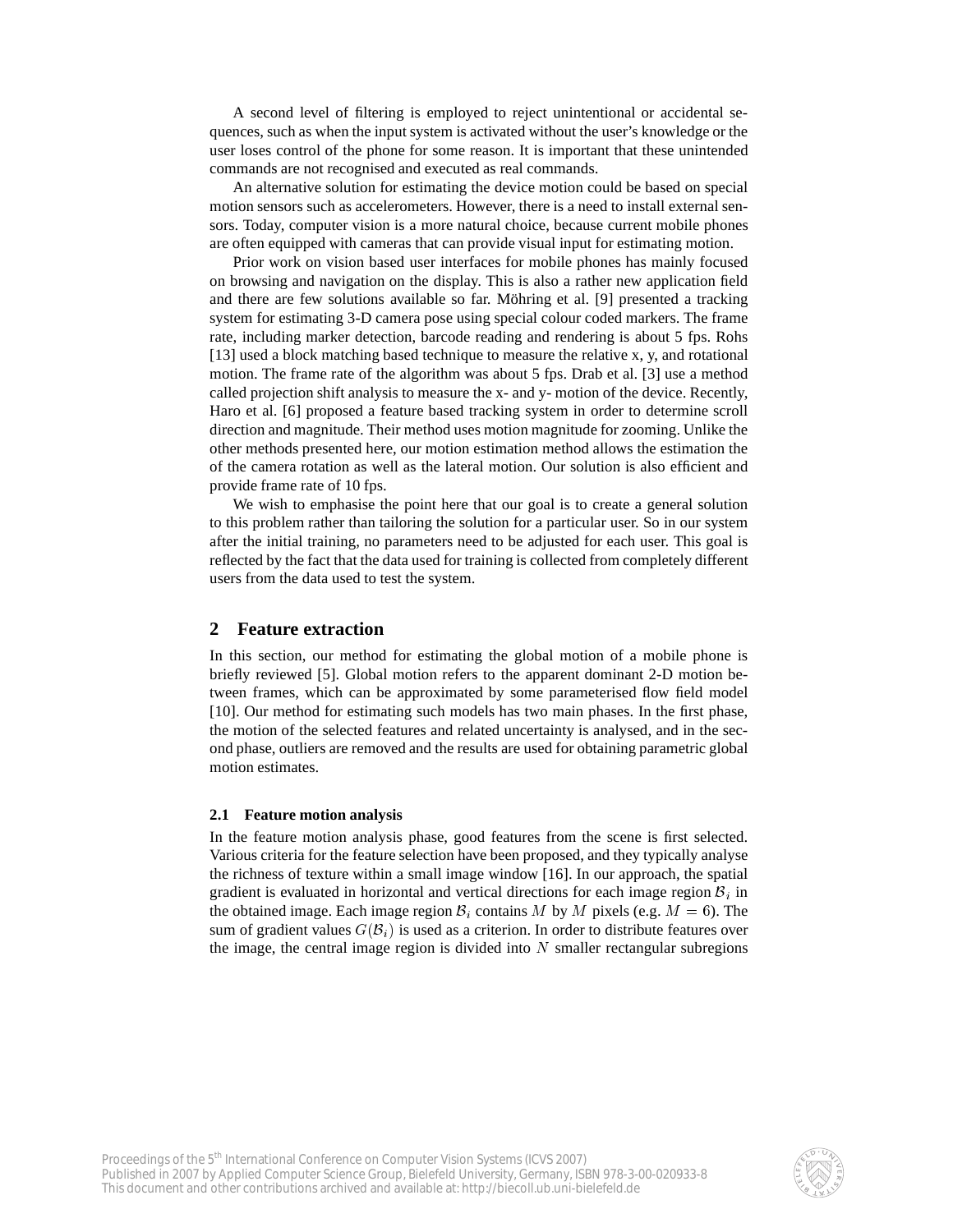A second level of filtering is employed to reject unintentional or accidental sequences, such as when the input system is activated without the user's knowledge or the user loses control of the phone for some reason. It is important that these unintended commands are not recognised and executed as real commands.

An alternative solution for estimating the device motion could be based on special motion sensors such as accelerometers. However, there is a need to install external sensors. Today, computer vision is a more natural choice, because current mobile phones are often equipped with cameras that can provide visual input for estimating motion.

Prior work on vision based user interfaces for mobile phones has mainly focused on browsing and navigation on the display. This is also a rather new application field and there are few solutions available so far. Möhring et al. [9] presented a tracking system for estimating 3-D camera pose using special colour coded markers. The frame rate, including marker detection, barcode reading and rendering is about 5 fps. Rohs [13] used a block matching based technique to measure the relative x, y, and rotational motion. The frame rate of the algorithm was about 5 fps. Drab et al. [3] use a method called projection shift analysis to measure the x- and y- motion of the device. Recently, Haro et al. [6] proposed a feature based tracking system in order to determine scroll direction and magnitude. Their method uses motion magnitude for zooming. Unlike the other methods presented here, our motion estimation method allows the estimation the of the camera rotation as well as the lateral motion. Our solution is also efficient and provide frame rate of 10 fps.

We wish to emphasise the point here that our goal is to create a general solution to this problem rather than tailoring the solution for a particular user. So in our system after the initial training, no parameters need to be adjusted for each user. This goal is reflected by the fact that the data used for training is collected from completely different users from the data used to test the system.

## **2 Feature extraction**

In this section, our method for estimating the global motion of a mobile phone is briefly reviewed [5]. Global motion refers to the apparent dominant 2-D motion between frames, which can be approximated by some parameterised flow field model [10]. Our method for estimating such models has two main phases. In the first phase, the motion of the selected features and related uncertainty is analysed, and in the second phase, outliers are removed and the results are used for obtaining parametric global motion estimates.

#### **2.1 Feature motion analysis**

In the feature motion analysis phase, good features from the scene is first selected. Various criteria for the feature selection have been proposed, and they typically analyse the richness of texture within a small image window [16]. In our approach, the spatial gradient is evaluated in horizontal and vertical directions for each image region  $B_i$  in the obtained image. Each image region  $\mathcal{B}_i$  contains M by M pixels (e.g.  $M = 6$ ). The sum of gradient values  $G(\mathcal{B}_i)$  is used as a criterion. In order to distribute features over the image, the central image region is divided into  $N$  smaller rectangular subregions

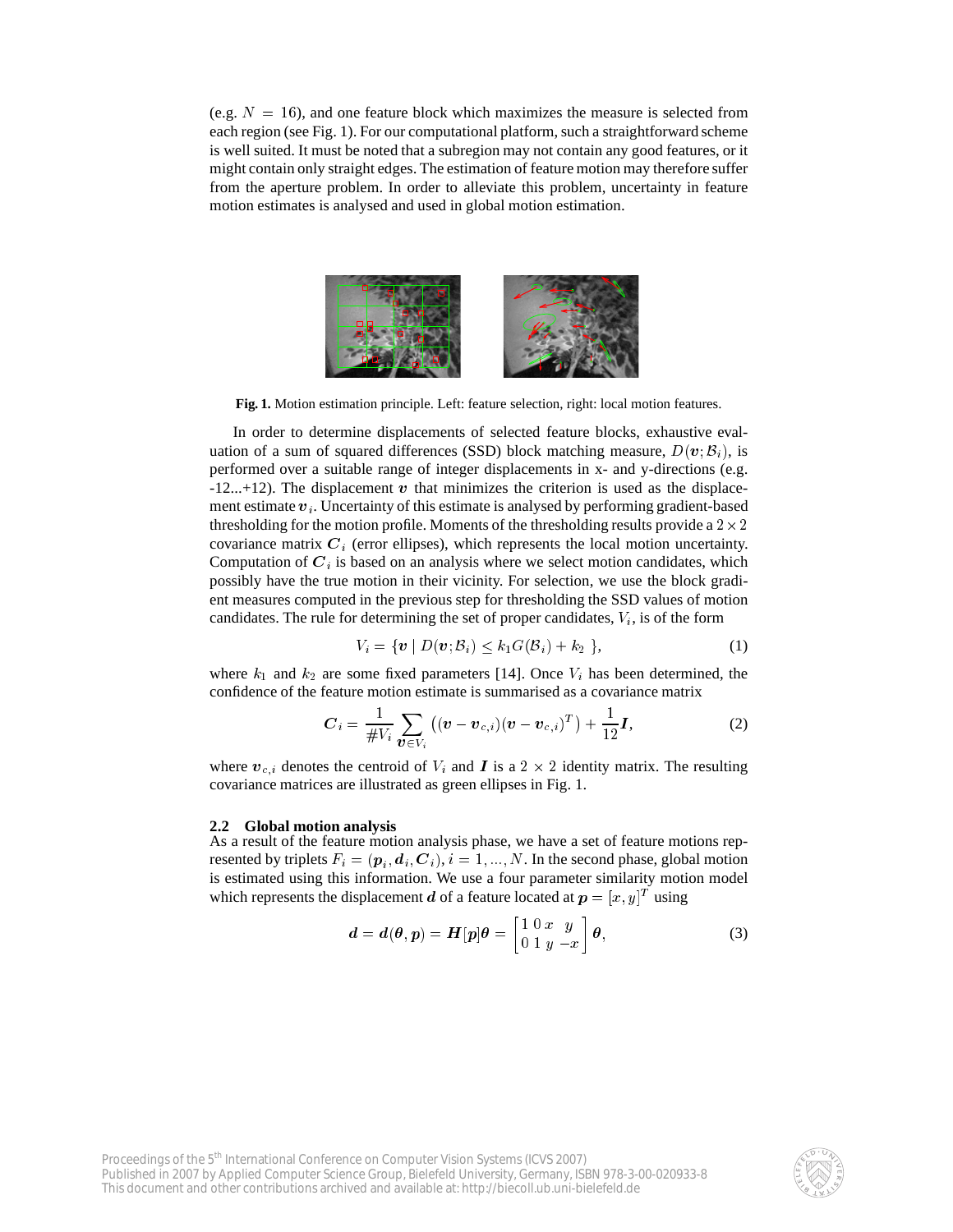(e.g.  $N = 16$ ), and one feature block which maximizes the measure is selected from each region (see Fig. 1). For our computational platform, such a straightforward scheme is well suited. It must be noted that a subregion may not contain any good features, or it might contain only straight edges. The estimation of feature motion may therefore suffer from the aperture problem. In order to alleviate this problem, uncertainty in feature motion estimates is analysed and used in global motion estimation.



**Fig. 1.** Motion estimation principle. Left: feature selection, right: local motion features.

In order to determine displacements of selected feature blocks, exhaustive evaluation of a sum of squared differences (SSD) block matching measure,  $D(\mathbf{v}; \mathcal{B}_i)$ , is performed over a suitable range of integer displacements in x- and y-directions (e.g.  $-12...+12$ ). The displacement v that minimizes the criterion is used as the displacement estimate  $v_i$ . Uncertainty of this estimate is analysed by performing gradient-based thresholding for the motion profile. Moments of the thresholding results provide a  $2 \times 2$ covariance matrix  $C_i$  (error ellipses), which represents the local motion uncertainty. Computation of  $C_i$  is based on an analysis where we select motion candidates, which possibly have the true motion in their vicinity. For selection, we use the block gradient measures computed in the previous step for thresholding the SSD values of motion candidates. The rule for determining the set of proper candidates,  $V_i$ , is of the form

$$
V_i = \{ \boldsymbol{v} \mid D(\boldsymbol{v}; \mathcal{B}_i) \le k_1 G(\mathcal{B}_i) + k_2 \},\tag{1}
$$

where  $k_1$  and  $k_2$  are some fixed parameters [14]. Once  $V_i$  has been determined, the confidence of the feature motion estimate is summarised as a covariance matrix

$$
C_i = \frac{1}{\#V_i} \sum_{\bm{v} \in V_i} \left( (\bm{v} - \bm{v}_{c,i}) (\bm{v} - \bm{v}_{c,i})^T \right) + \frac{1}{12} \bm{I}, \tag{2}
$$

where  $v_{c,i}$  denotes the centroid of  $V_i$  and  $I$  is a  $2 \times 2$  identity matrix. The resulting covariance matrices are illustrated as green ellipses in Fig. 1.

#### **2.2 Global motion analysis**

As a result of the feature motion analysis phase, we have a set of feature motions represented by triplets  $F_i = (\boldsymbol{p}_i, \boldsymbol{d}_i, \boldsymbol{C}_i), i = 1, ..., N.$  In the second phase, global motion is estimated using this information. We use a four parameter similarity motion model which represents the displacement  $d$  of a feature located at  $p = [x, y]^T$  using

$$
d = d(\theta, p) = H[p]\theta = \begin{bmatrix} 1 & 0 & x & y \\ 0 & 1 & y & -x \end{bmatrix} \theta,
$$
 (3)

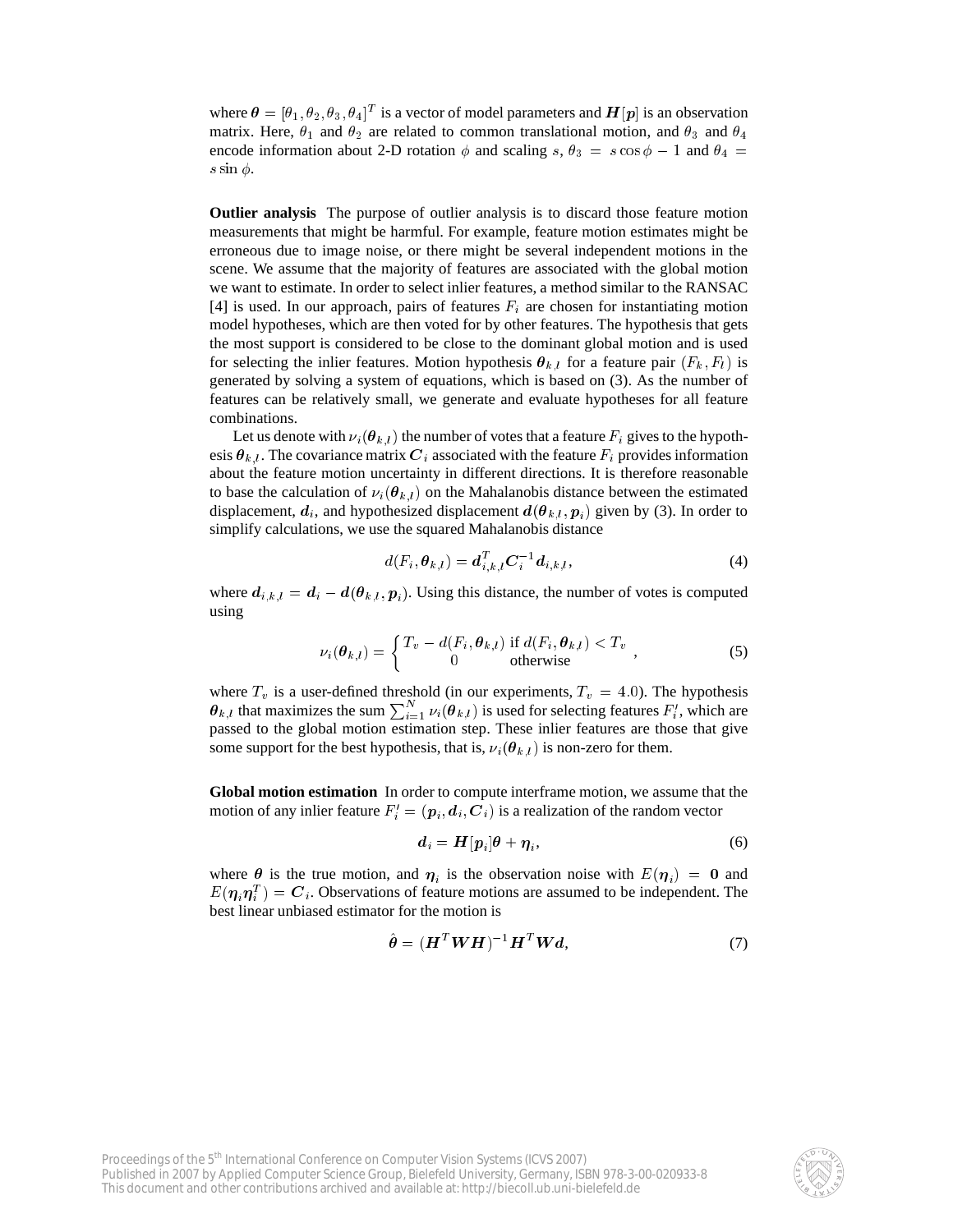where  $\theta = [\theta_1, \theta_2, \theta_3, \theta_4]^T$  is a vector of model parameters and  $H[p]$  is an observation matrix. Here,  $\theta_1$  and  $\theta_2$  are related to common translational motion, and  $\theta_3$  and  $\theta_4$ encode information about 2-D rotation  $\phi$  and scaling s,  $\theta_3 = s \cos \phi - 1$  and  $\theta_4 =$ s sin  $\phi$ .

**Outlier analysis** The purpose of outlier analysis is to discard those feature motion measurements that might be harmful. For example, feature motion estimates might be erroneous due to image noise, or there might be several independent motions in the scene. We assume that the majority of features are associated with the global motion we want to estimate. In order to select inlier features, a method similar to the RANSAC [4] is used. In our approach, pairs of features  $F_i$  are chosen for instantiating motion model hypotheses, which are then voted for by other features. The hypothesis that gets the most support is considered to be close to the dominant global motion and is used for selecting the inlier features. Motion hypothesis  $\theta_{k,l}$  for a feature pair  $(F_k, F_l)$  is generated by solving a system of equations, which is based on (3). As the number of features can be relatively small, we generate and evaluate hypotheses for all feature combinations.

Let us denote with  $\nu_i(\theta_{k,l})$  the number of votes that a feature  $F_i$  gives to the hypothesis  $\theta_{k,l}$ . The covariance matrix  $C_i$  associated with the feature  $F_i$  provides information about the feature motion uncertainty in different directions. It is therefore reasonable to base the calculation of  $\nu_i(\theta_{k,l})$  on the Mahalanobis distance between the estimated displacement,  $d_i$ , and hypothesized displacement  $d(\theta_{k,l}, p_i)$  given by (3). In order to simplify calculations, we use the squared Mahalanobis distance

$$
d(F_i, \boldsymbol{\theta}_{k,l}) = \boldsymbol{d}_{i,k,l}^T \boldsymbol{C}_i^{-1} \boldsymbol{d}_{i,k,l},
$$
\n(4)

where  $d_{i,k,l} = d_i - d(\theta_{k,l}, p_i)$ . Using this distance, the number of votes is computed using

$$
\nu_i(\boldsymbol{\theta}_{k,l}) = \begin{cases} T_v - d(F_i, \boldsymbol{\theta}_{k,l}) & \text{if } d(F_i, \boldsymbol{\theta}_{k,l}) < T_v \\ 0 & \text{otherwise} \end{cases},\tag{5}
$$

where  $T_v$  is a user-defined threshold (in our experiments,  $T_v = 4.0$ ). The hypothesis  $\theta_{k,l}$  that maximizes the sum  $\sum_{i=1}^{N} \nu_i(\theta_{k,l})$  is used for selecting features  $F_i'$ , which are passed to the global motion estimation step. These inlier features are those that give some support for the best hypothesis, that is,  $\nu_i(\theta_{k,l})$  is non-zero for them.

**Global motion estimation** In order to compute interframe motion, we assume that the motion of any inlier feature  $F_i' = (\bm{p}_i, \bm{d}_i, \bm{C}_i)$  is a realization of the random vector

$$
d_i = H[p_i]\theta + \eta_i,\tag{6}
$$

where  $\theta$  is the true motion, and  $\eta_i$  is the observation noise with  $E(\eta_i) = 0$  and  $E(\eta_i \eta_i^T) = C_i$ . Observations of feature motions are assumed to be independent. The best linear unbiased estimator for the motion is

$$
\hat{\boldsymbol{\theta}} = (\boldsymbol{H}^T \boldsymbol{W} \boldsymbol{H})^{-1} \boldsymbol{H}^T \boldsymbol{W} \boldsymbol{d},\tag{7}
$$

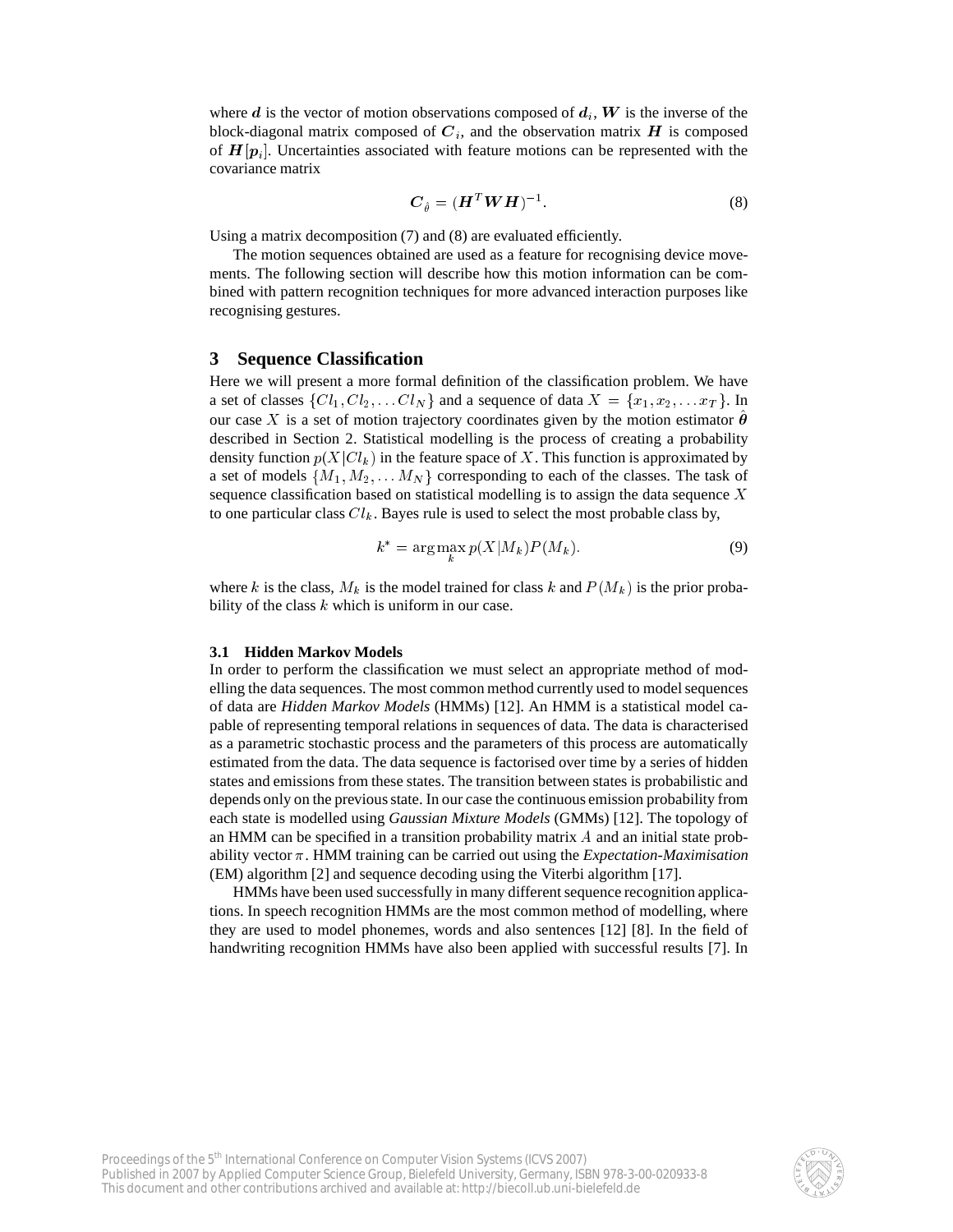where d is the vector of motion observations composed of  $d_i$ , W is the inverse of the block-diagonal matrix composed of  $C_i$ , and the observation matrix  $H$  is composed of  $H[p_i]$ . Uncertainties associated with feature motions can be represented with the covariance matrix

$$
\boldsymbol{C}_{\hat{\theta}} = (\boldsymbol{H}^T \boldsymbol{W} \boldsymbol{H})^{-1}.
$$

Using a matrix decomposition (7) and (8) are evaluated efficiently.

The motion sequences obtained are used as a feature for recognising device movements. The following section will describe how this motion information can be combined with pattern recognition techniques for more advanced interaction purposes like recognising gestures.

### **3 Sequence Classification**

Here we will present a more formal definition of the classification problem. We have a set of classes  $\{Cl_1, Cl_2, \ldots Cl_N\}$  and a sequence of data  $X = \{x_1, x_2, \ldots x_T\}$ . In our case X is a set of motion trajectory coordinates given by the motion estimator  $\hat{\theta}$ described in Section 2. Statistical modelling is the process of creating a probability density function  $p(X|Cl_k)$  in the feature space of X. This function is approximated by a set of models  $\{M_1, M_2, \ldots M_N\}$  corresponding to each of the classes. The task of sequence classification based on statistical modelling is to assign the data sequence X to one particular class  $Cl_k$ . Bayes rule is used to select the most probable class by,

$$
k^* = \arg\max_k p(X|M_k)P(M_k). \tag{9}
$$

where k is the class,  $M_k$  is the model trained for class k and  $P(M_k)$  is the prior probability of the class  $k$  which is uniform in our case.

#### **3.1 Hidden Markov Models**

In order to perform the classification we must select an appropriate method of modelling the data sequences. The most common method currently used to model sequences of data are *Hidden Markov Models* (HMMs) [12]. An HMM is a statistical model capable of representing temporal relations in sequences of data. The data is characterised as a parametric stochastic process and the parameters of this process are automatically estimated from the data. The data sequence is factorised over time by a series of hidden states and emissions from these states. The transition between states is probabilistic and depends only on the previous state. In our case the continuous emission probability from each state is modelled using *Gaussian Mixture Models* (GMMs) [12]. The topology of an HMM can be specified in a transition probability matrix  $A$  and an initial state probability vector  $\pi$ . HMM training can be carried out using the *Expectation-Maximisation* (EM) algorithm [2] and sequence decoding using the Viterbi algorithm [17].

HMMs have been used successfully in many different sequence recognition applications. In speech recognition HMMs are the most common method of modelling, where they are used to model phonemes, words and also sentences [12] [8]. In the field of handwriting recognition HMMs have also been applied with successful results [7]. In

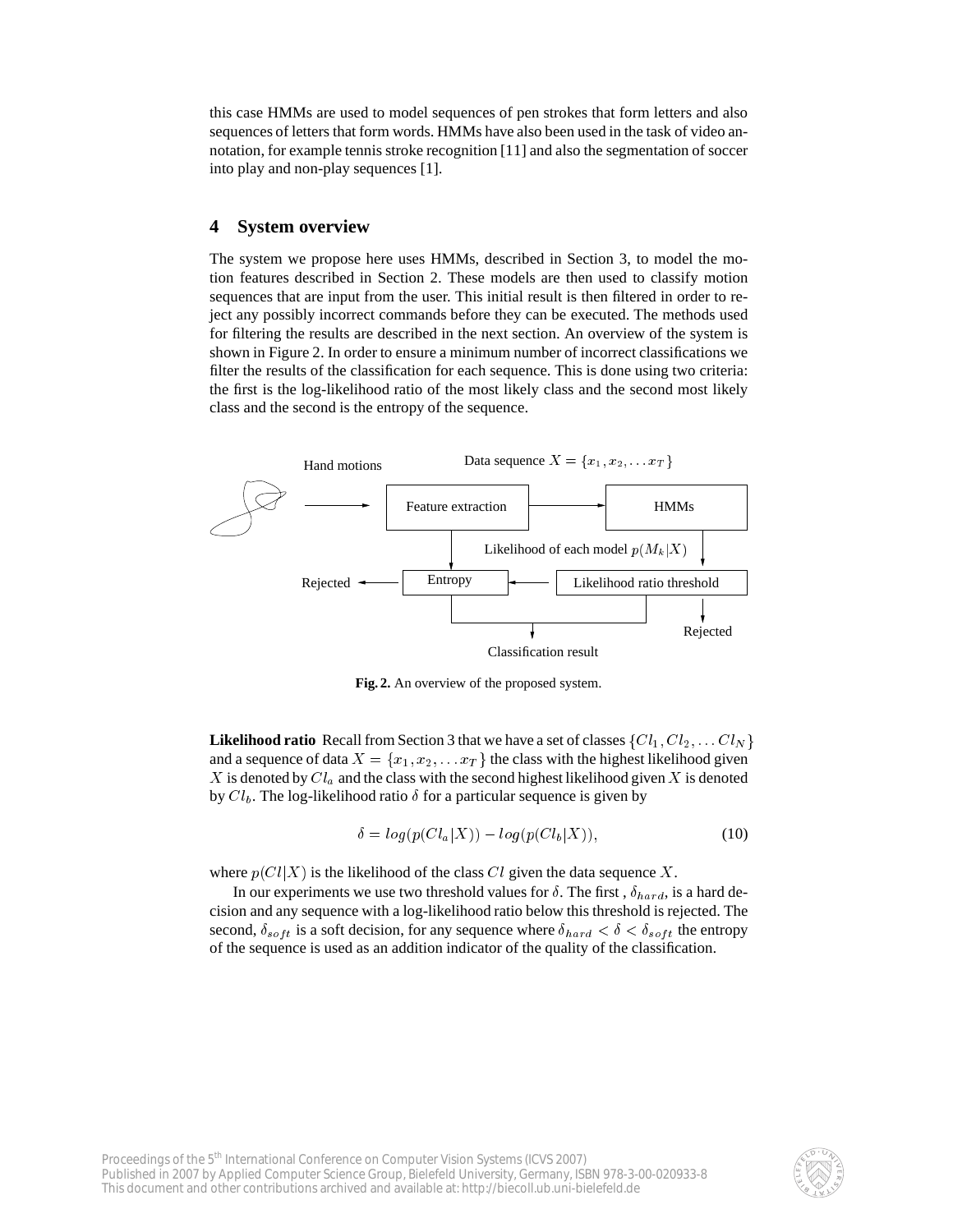this case HMMs are used to model sequences of pen strokes that form letters and also sequences of letters that form words. HMMs have also been used in the task of video annotation, for example tennis stroke recognition [11] and also the segmentation of soccer into play and non-play sequences [1].

## **4 System overview**

The system we propose here uses HMMs, described in Section 3, to model the motion features described in Section 2. These models are then used to classify motion sequences that are input from the user. This initial result is then filtered in order to reject any possibly incorrect commands before they can be executed. The methods used for filtering the results are described in the next section. An overview of the system is shown in Figure 2. In order to ensure a minimum number of incorrect classifications we filter the results of the classification for each sequence. This is done using two criteria: the first is the log-likelihood ratio of the most likely class and the second most likely class and the second is the entropy of the sequence.



**Fig. 2.** An overview of the proposed system.

**Likelihood ratio** Recall from Section 3 that we have a set of classes  $\{Cl_1, Cl_2, \ldots Cl_N\}$ and a sequence of data  $X = \{x_1, x_2, \ldots x_T\}$  the class with the highest likelihood given  $X$  is denoted by  $Cl_a$  and the class with the second highest likelihood given  $X$  is denoted by  $Cl_b$ . The log-likelihood ratio  $\delta$  for a particular sequence is given by

$$
\delta = \log(p(Cl_a|X)) - \log(p(Cl_b|X)),\tag{10}
$$

where  $p(Cl|X)$  is the likelihood of the class Cl given the data sequence X.

In our experiments we use two threshold values for  $\delta$ . The first,  $\delta_{hard}$ , is a hard decision and any sequence with a log-likelihood ratio below this threshold is rejected. The second,  $\delta_{soft}$  is a soft decision, for any sequence where  $\delta_{hard} < \delta < \delta_{soft}$  the entropy of the sequence is used as an addition indicator of the quality of the classification.

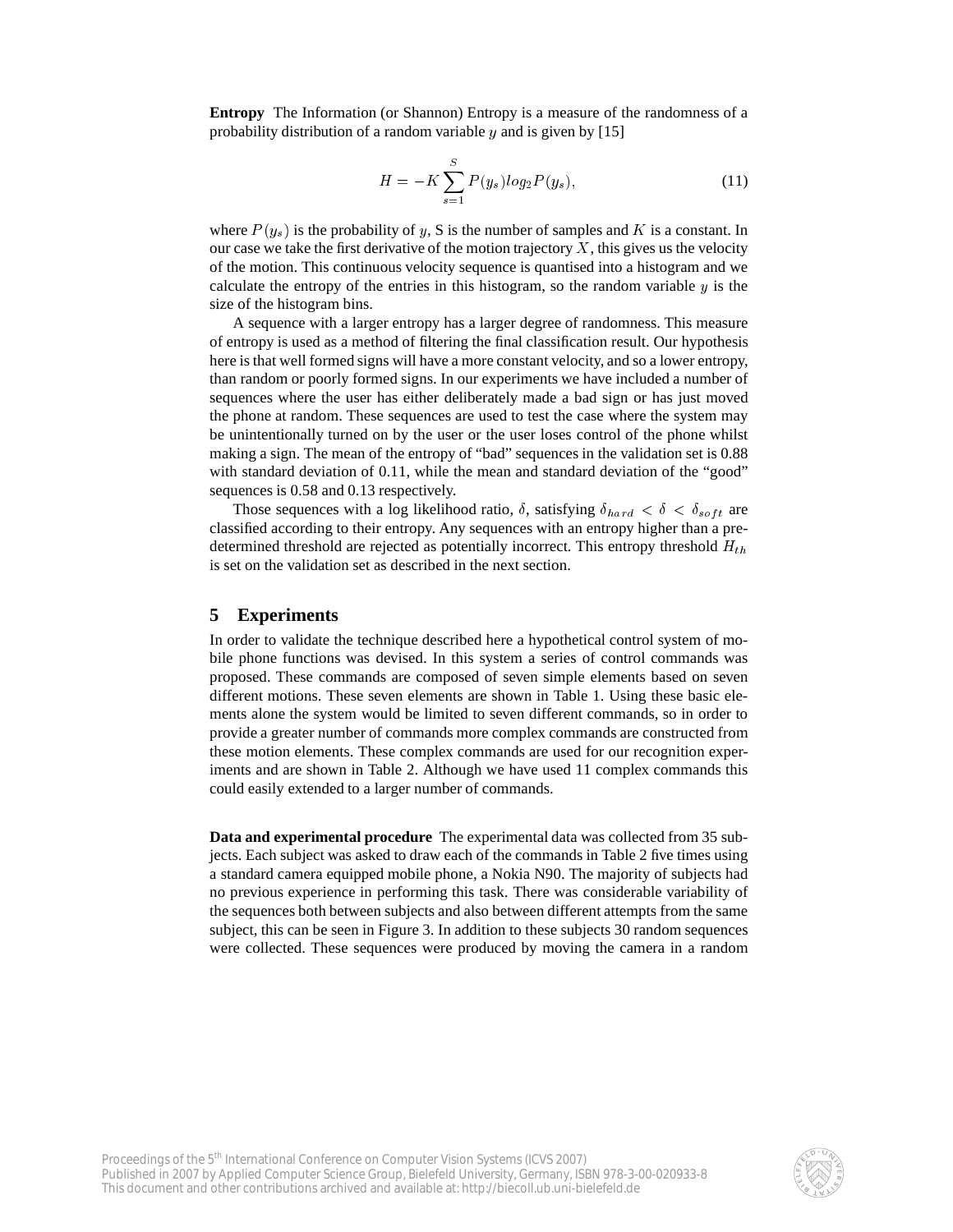**Entropy** The Information (or Shannon) Entropy is a measure of the randomness of a probability distribution of a random variable  $y$  and is given by [15]

$$
H = -K \sum_{s=1}^{S} P(y_s) \log_2 P(y_s), \tag{11}
$$

where  $P(y_s)$  is the probability of y, S is the number of samples and K is a constant. In our case we take the first derivative of the motion trajectory  $X$ , this gives us the velocity of the motion. This continuous velocity sequence is quantised into a histogram and we calculate the entropy of the entries in this histogram, so the random variable  $y$  is the size of the histogram bins.

A sequence with a larger entropy has a larger degree of randomness. This measure of entropy is used as a method of filtering the final classification result. Our hypothesis here is that well formed signs will have a more constant velocity, and so a lower entropy, than random or poorly formed signs. In our experiments we have included a number of sequences where the user has either deliberately made a bad sign or has just moved the phone at random. These sequences are used to test the case where the system may be unintentionally turned on by the user or the user loses control of the phone whilst making a sign. The mean of the entropy of "bad" sequences in the validation set is 0.88 with standard deviation of 0.11, while the mean and standard deviation of the "good" sequences is 0.58 and 0.13 respectively.

Those sequences with a log likelihood ratio,  $\delta$ , satisfying  $\delta_{hard} < \delta < \delta_{soft}$  are classified according to their entropy. Any sequences with an entropy higher than a predetermined threshold are rejected as potentially incorrect. This entropy threshold  $H_{th}$ is set on the validation set as described in the next section.

# **5 Experiments**

In order to validate the technique described here a hypothetical control system of mobile phone functions was devised. In this system a series of control commands was proposed. These commands are composed of seven simple elements based on seven different motions. These seven elements are shown in Table 1. Using these basic elements alone the system would be limited to seven different commands, so in order to provide a greater number of commands more complex commands are constructed from these motion elements. These complex commands are used for our recognition experiments and are shown in Table 2. Although we have used 11 complex commands this could easily extended to a larger number of commands.

**Data and experimental procedure** The experimental data was collected from 35 subjects. Each subject was asked to draw each of the commands in Table 2 five times using a standard camera equipped mobile phone, a Nokia N90. The majority of subjects had no previous experience in performing this task. There was considerable variability of the sequences both between subjects and also between different attempts from the same subject, this can be seen in Figure 3. In addition to these subjects 30 random sequences were collected. These sequences were produced by moving the camera in a random

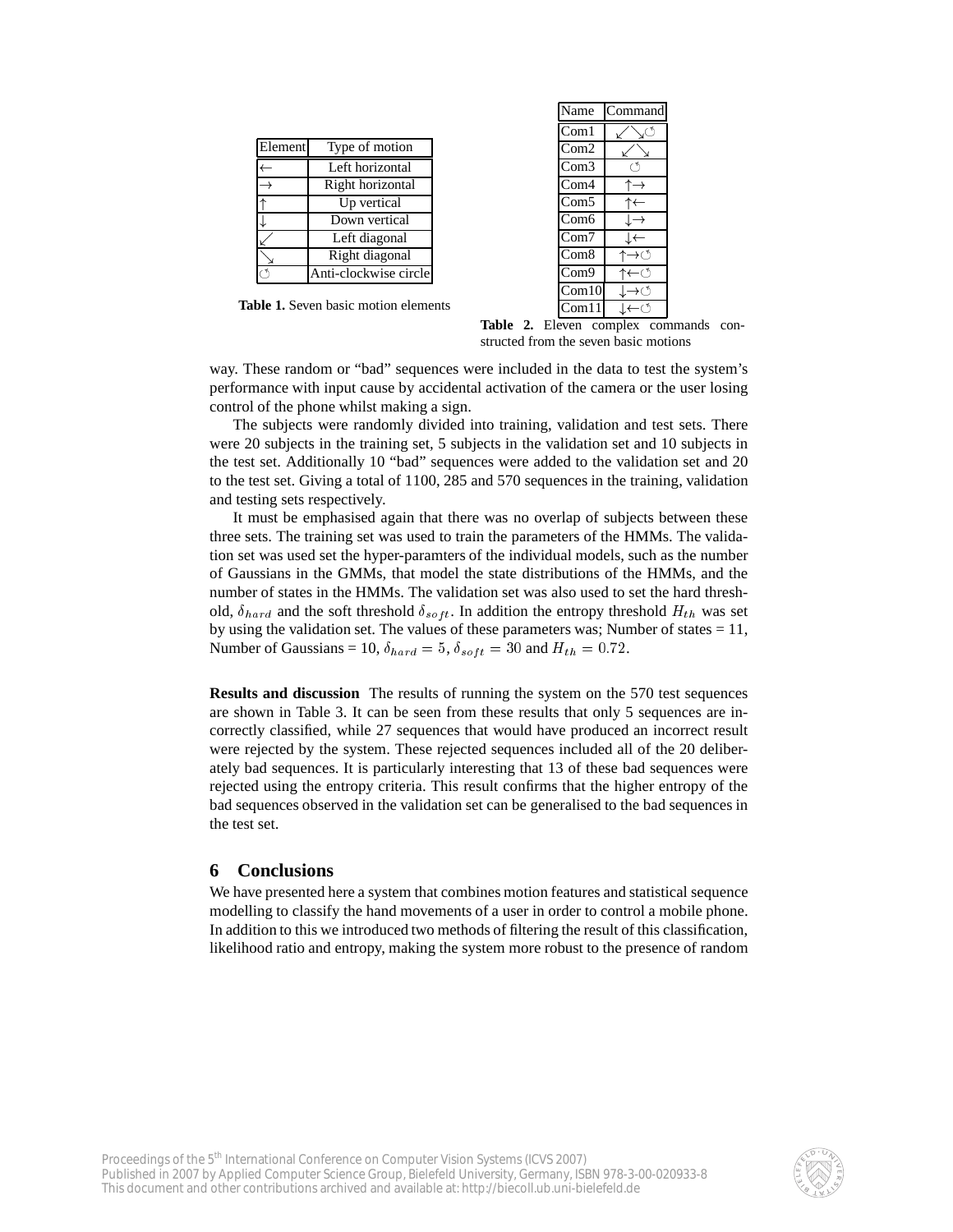| Element | Type of motion        |
|---------|-----------------------|
|         | Left horizontal       |
|         | Right horizontal      |
|         | Up vertical           |
|         | Down vertical         |
|         | Left diagonal         |
|         | Right diagonal        |
|         | Anti-clockwise circle |

**Table 1.** Seven basic motion elements

| Name                      | Command |
|---------------------------|---------|
| Com1                      |         |
| Com2                      |         |
| Com3                      |         |
| Com4                      |         |
| Com5                      |         |
| Com6                      |         |
| Com7                      |         |
| Com8                      | →ে      |
| Com9                      | ←ে      |
| Com10                     | →ে      |
| $\overline{\text{Com}}11$ | ←⊖      |

Table 2. Eleven complex commands constructed from the seven basic motions

way. These random or "bad" sequences were included in the data to test the system's performance with input cause by accidental activation of the camera or the user losing control of the phone whilst making a sign.

The subjects were randomly divided into training, validation and test sets. There were 20 subjects in the training set, 5 subjects in the validation set and 10 subjects in the test set. Additionally 10 "bad" sequences were added to the validation set and 20 to the test set. Giving a total of 1100, 285 and 570 sequences in the training, validation and testing sets respectively.

It must be emphasised again that there was no overlap of subjects between these three sets. The training set was used to train the parameters of the HMMs. The validation set was used set the hyper-paramters of the individual models, such as the number of Gaussians in the GMMs, that model the state distributions of the HMMs, and the number of states in the HMMs. The validation set was also used to set the hard threshold,  $\delta_{hard}$  and the soft threshold  $\delta_{soft}$ . In addition the entropy threshold  $H_{th}$  was set by using the validation set. The values of these parameters was; Number of states  $= 11$ , Number of Gaussians = 10,  $\delta_{hard} = 5$ ,  $\delta_{soft} = 30$  and  $H_{th} = 0.72$ .

**Results and discussion** The results of running the system on the 570 test sequences are shown in Table 3. It can be seen from these results that only 5 sequences are incorrectly classified, while 27 sequences that would have produced an incorrect result were rejected by the system. These rejected sequences included all of the 20 deliberately bad sequences. It is particularly interesting that 13 of these bad sequences were rejected using the entropy criteria. This result confirms that the higher entropy of the bad sequences observed in the validation set can be generalised to the bad sequences in the test set.

# **6 Conclusions**

We have presented here a system that combines motion features and statistical sequence modelling to classify the hand movements of a user in order to control a mobile phone. In addition to this we introduced two methods of filtering the result of this classification, likelihood ratio and entropy, making the system more robust to the presence of random

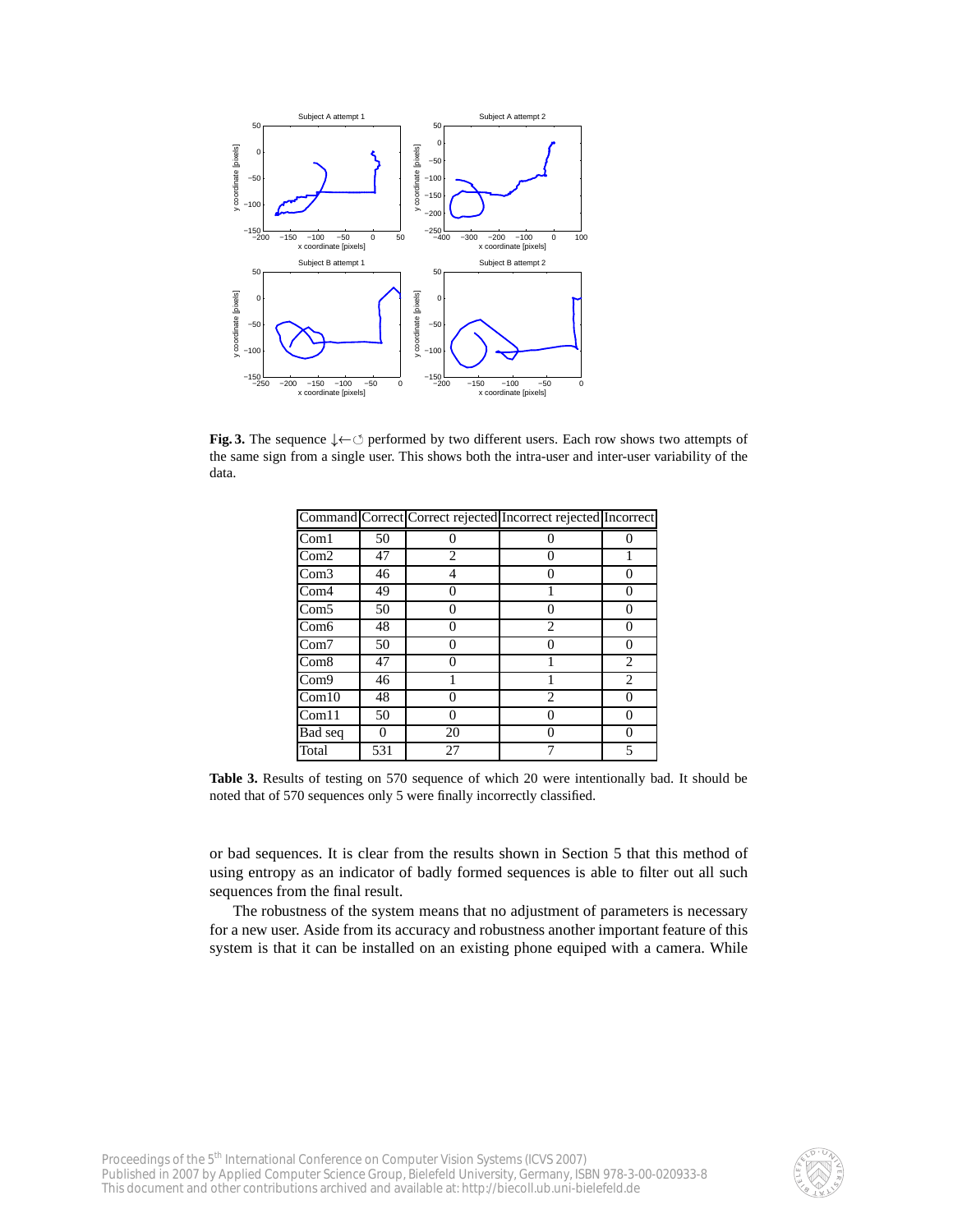

**Fig. 3.** The sequence  $\downarrow \leftarrow \circlearrowleft$  performed by two different users. Each row shows two attempts of the same sign from a single user. This shows both the intra-user and inter-user variability of the data.

|                  |     |          | Command Correct Correct rejected Incorrect rejected Incorrect |   |
|------------------|-----|----------|---------------------------------------------------------------|---|
| Com1             | 50  |          |                                                               |   |
| Com2             | 47  | 2        |                                                               |   |
| Com3             | 46  | 4        |                                                               |   |
| Com4             | 49  | 0        |                                                               |   |
| Com5             | 50  | 0        |                                                               |   |
| Com <sub>6</sub> | 48  | 0        | $\mathfrak{D}_{\mathfrak{p}}$                                 |   |
| Com7             | 50  | 0        |                                                               |   |
| Com <sub>8</sub> | 47  | 0        |                                                               | 2 |
| Com9             | 46  |          |                                                               | 2 |
| Com10            | 48  | 0        | 2                                                             |   |
| Com11            | 50  | $\theta$ |                                                               |   |
| Bad seq          |     | 20       |                                                               |   |
| Total            | 531 | 27       |                                                               |   |

**Table 3.** Results of testing on 570 sequence of which 20 were intentionally bad. It should be noted that of 570 sequences only 5 were finally incorrectly classified.

or bad sequences. It is clear from the results shown in Section 5 that this method of using entropy as an indicator of badly formed sequences is able to filter out all such sequences from the final result.

The robustness of the system means that no adjustment of parameters is necessary for a new user. Aside from its accuracy and robustness another important feature of this system is that it can be installed on an existing phone equiped with a camera. While